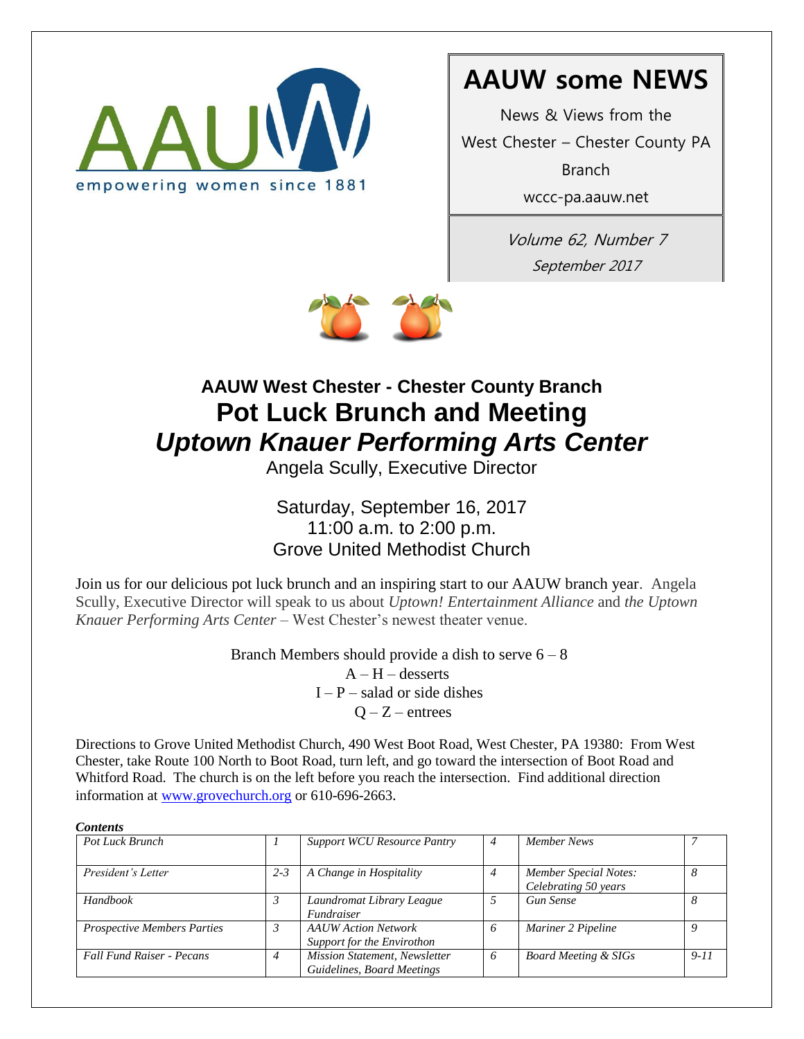

# **AAUW some NEWS**

News & Views from the West Chester – Chester County PA Branch

wccc-pa.aauw.net

Volume 62, Number 7 September 2017



# **AAUW West Chester - Chester County Branch Pot Luck Brunch and Meeting** *Uptown Knauer Performing Arts Center*

Angela Scully, Executive Director

Saturday, September 16, 2017 11:00 a.m. to 2:00 p.m. Grove United Methodist Church

Join us for our delicious pot luck brunch and an inspiring start to our AAUW branch year. Angela Scully, Executive Director will speak to us about *Uptown! Entertainment Alliance* and *the Uptown Knauer Performing Arts Center* – West Chester's newest theater venue.

> Branch Members should provide a dish to serve  $6 - 8$  $A - H -$  desserts

> > $I - P -$  salad or side dishes  $Q - Z -$  entrees

Directions to Grove United Methodist Church, 490 West Boot Road, West Chester, PA 19380: From West Chester, take Route 100 North to Boot Road, turn left, and go toward the intersection of Boot Road and Whitford Road. The church is on the left before you reach the intersection. Find additional direction information at [www.grovechurch.org](http://www.grovechurch.org/) or 610-696-2663.

| Pot Luck Brunch                    |         | <b>Support WCU Resource Pantry</b>                                 | $\overline{4}$ | Member News                                          |          |
|------------------------------------|---------|--------------------------------------------------------------------|----------------|------------------------------------------------------|----------|
| President's Letter                 | $2 - 3$ | A Change in Hospitality                                            | $\overline{4}$ | <b>Member Special Notes:</b><br>Celebrating 50 years | 8        |
| <b>Handbook</b>                    |         | Laundromat Library League<br><i><u><b>Fundraiser</b></u></i>       | 5              | <b>Gun Sense</b>                                     | 8        |
| <b>Prospective Members Parties</b> |         | <b>AAUW</b> Action Network<br>Support for the Envirothon           | 6              | Mariner 2 Pipeline                                   | ο        |
| <b>Fall Fund Raiser - Pecans</b>   | 4       | <b>Mission Statement, Newsletter</b><br>Guidelines, Board Meetings | 6              | <b>Board Meeting &amp; SIGs</b>                      | $9 - 11$ |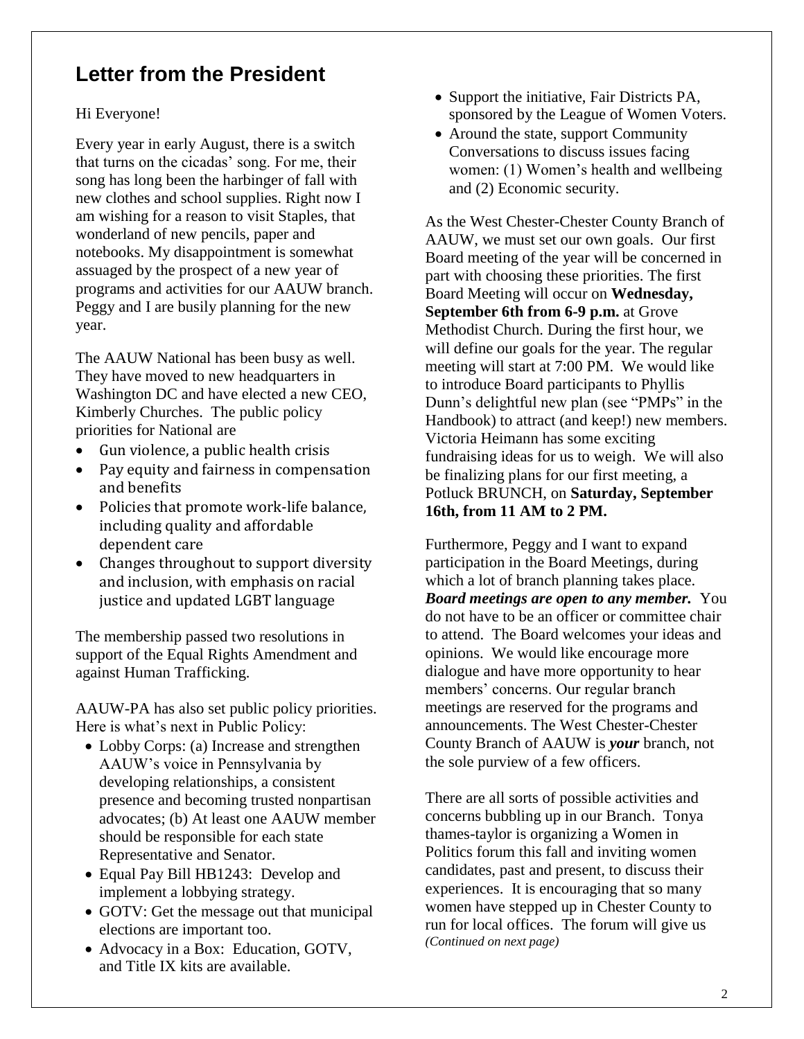## **Letter from the President**

#### Hi Everyone!

Every year in early August, there is a switch that turns on the cicadas' song. For me, their song has long been the harbinger of fall with new clothes and school supplies. Right now I am wishing for a reason to visit Staples, that wonderland of new pencils, paper and notebooks. My disappointment is somewhat assuaged by the prospect of a new year of programs and activities for our AAUW branch. Peggy and I are busily planning for the new year.

The AAUW National has been busy as well. They have moved to new headquarters in Washington DC and have elected a new CEO, Kimberly Churches. The public policy priorities for National are

- Gun violence, a public health crisis
- Pay equity and fairness in compensation and benefits
- Policies that promote work-life balance, including quality and affordable dependent care
- Changes throughout to support diversity and inclusion, with emphasis on racial justice and updated LGBT language

The membership passed two resolutions in support of the Equal Rights Amendment and against Human Trafficking.

AAUW-PA has also set public policy priorities. Here is what's next in Public Policy:

- Lobby Corps: (a) Increase and strengthen AAUW's voice in Pennsylvania by developing relationships, a consistent presence and becoming trusted nonpartisan advocates; (b) At least one AAUW member should be responsible for each state Representative and Senator.
- Equal Pay Bill HB1243: Develop and implement a lobbying strategy.
- GOTV: Get the message out that municipal elections are important too.
- Advocacy in a Box: Education, GOTV, and Title IX kits are available.
- Support the initiative, Fair Districts PA, sponsored by the League of Women Voters.
- Around the state, support Community Conversations to discuss issues facing women: (1) Women's health and wellbeing and (2) Economic security.

As the West Chester-Chester County Branch of AAUW, we must set our own goals. Our first Board meeting of the year will be concerned in part with choosing these priorities. The first Board Meeting will occur on **Wednesday, September 6th from 6-9 p.m.** at Grove Methodist Church. During the first hour, we will define our goals for the year. The regular meeting will start at 7:00 PM. We would like to introduce Board participants to Phyllis Dunn's delightful new plan (see "PMPs" in the Handbook) to attract (and keep!) new members. Victoria Heimann has some exciting fundraising ideas for us to weigh. We will also be finalizing plans for our first meeting, a Potluck BRUNCH, on **Saturday, September 16th, from 11 AM to 2 PM.**

Furthermore, Peggy and I want to expand participation in the Board Meetings, during which a lot of branch planning takes place. *Board meetings are open to any member.* You do not have to be an officer or committee chair to attend. The Board welcomes your ideas and opinions. We would like encourage more dialogue and have more opportunity to hear members' concerns. Our regular branch meetings are reserved for the programs and announcements. The West Chester-Chester County Branch of AAUW is *your* branch, not the sole purview of a few officers.

There are all sorts of possible activities and concerns bubbling up in our Branch. Tonya thames-taylor is organizing a Women in Politics forum this fall and inviting women candidates, past and present, to discuss their experiences. It is encouraging that so many women have stepped up in Chester County to run for local offices. The forum will give us *(Continued on next page)*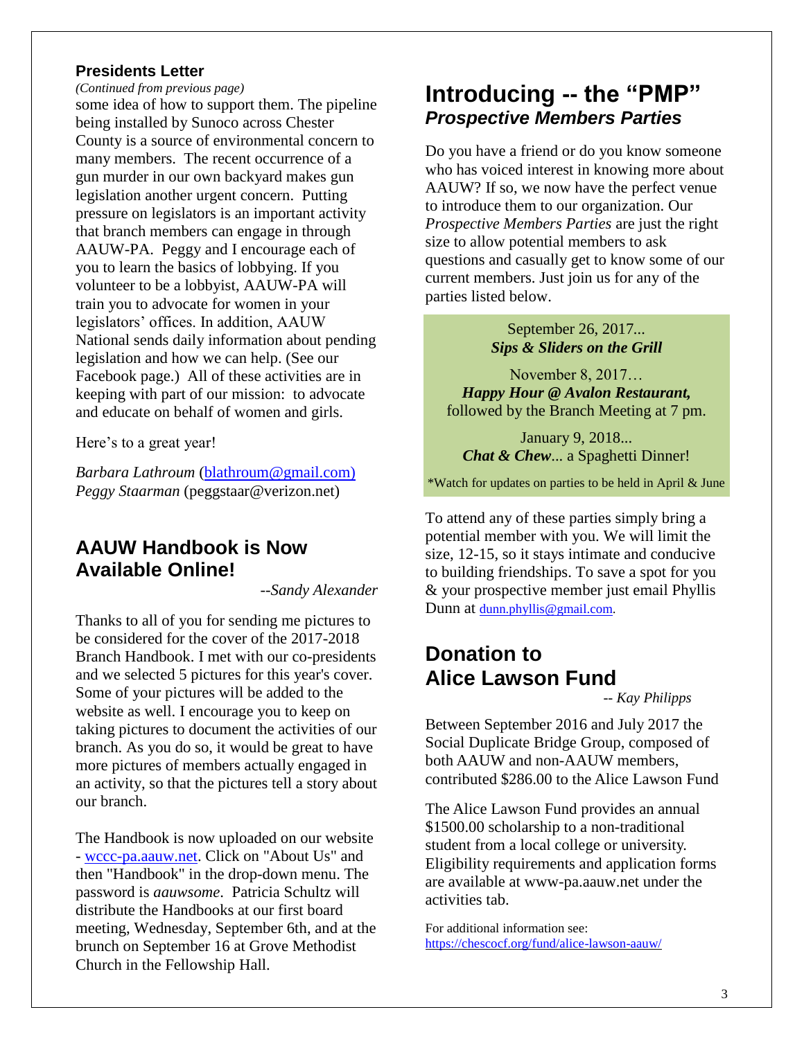### **Presidents Letter**

*(Continued from previous page)*

some idea of how to support them. The pipeline being installed by Sunoco across Chester County is a source of environmental concern to many members. The recent occurrence of a gun murder in our own backyard makes gun legislation another urgent concern. Putting pressure on legislators is an important activity that branch members can engage in through AAUW-PA. Peggy and I encourage each of you to learn the basics of lobbying. If you volunteer to be a lobbyist, AAUW-PA will train you to advocate for women in your legislators' offices. In addition, AAUW National sends daily information about pending legislation and how we can help. (See our Facebook page.) All of these activities are in keeping with part of our mission: to advocate and educate on behalf of women and girls.

Here's to a great year!

*Barbara Lathroum* [\(blathroum@gmail.com\)](mailto:blathroum@gmail.com)) *Peggy Staarman* (peggstaar@verizon.net)

### **AAUW Handbook is Now Available Online!**

*--Sandy Alexander*

Thanks to all of you for sending me pictures to be considered for the cover of the 2017-2018 Branch Handbook. I met with our co-presidents and we selected 5 pictures for this year's cover. Some of your pictures will be added to the website as well. I encourage you to keep on taking pictures to document the activities of our branch. As you do so, it would be great to have more pictures of members actually engaged in an activity, so that the pictures tell a story about our branch.

The Handbook is now uploaded on our website - [wccc-pa.aauw.net.](http://wccc-pa.aauw.net/) Click on "About Us" and then "Handbook" in the drop-down menu. The password is *aauwsome*. Patricia Schultz will distribute the Handbooks at our first board meeting, Wednesday, September 6th, and at the brunch on September 16 at Grove Methodist Church in the Fellowship Hall.

## **Introducing -- the "PMP"** *Prospective Members Parties*

Do you have a friend or do you know someone who has voiced interest in knowing more about AAUW? If so, we now have the perfect venue to introduce them to our organization. Our *Prospective Members Parties* are just the right size to allow potential members to ask questions and casually get to know some of our current members. Just join us for any of the parties listed below.

> September 26, 2017*... Sips & Sliders on the Grill*

November 8, 2017… *Happy Hour @ Avalon Restaurant,* followed by the Branch Meeting at 7 pm.

January 9, 2018... *<i>Chat & Chew...* a Spaghetti Dinner!

\*Watch for updates on parties to be held in April & June

To attend any of these parties simply bring a potential member with you. We will limit the size, 12-15, so it stays intimate and conducive to building friendships. To save a spot for you & your prospective member just email Phyllis Dunn at [dunn.phyllis@gmail.com.](mailto:dunn.phyllis@gmail.com)

## **Donation to Alice Lawson Fund**

*-- Kay Philipps*

Between September 2016 and July 2017 the Social Duplicate Bridge Group, composed of both AAUW and non-AAUW members, contributed \$286.00 to the Alice Lawson Fund

The Alice Lawson Fund provides an annual \$1500.00 scholarship to a non-traditional student from a local college or university. Eligibility requirements and application forms are available at www-pa.aauw.net under the activities tab.

For additional information see: <https://chescocf.org/fund/alice-lawson-aauw/>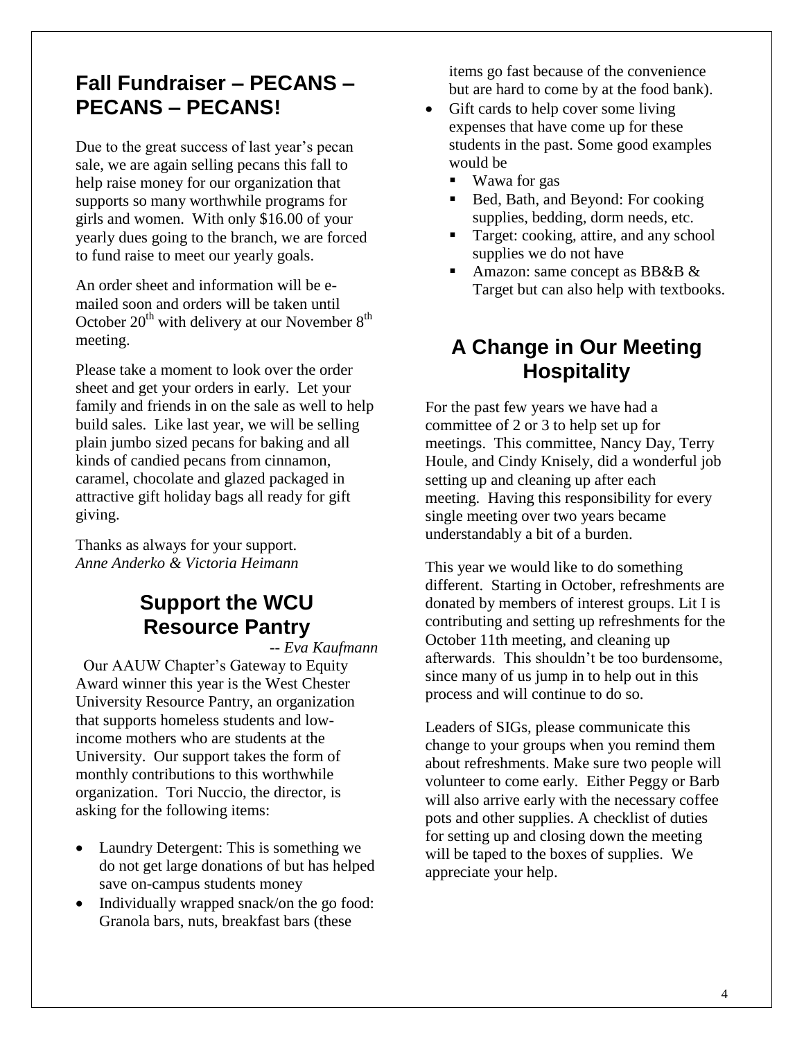## **Fall Fundraiser – PECANS – PECANS – PECANS!**

Due to the great success of last year's pecan sale, we are again selling pecans this fall to help raise money for our organization that supports so many worthwhile programs for girls and women. With only \$16.00 of your yearly dues going to the branch, we are forced to fund raise to meet our yearly goals.

An order sheet and information will be emailed soon and orders will be taken until October  $20^{th}$  with delivery at our November  $8^{th}$ meeting.

Please take a moment to look over the order sheet and get your orders in early. Let your family and friends in on the sale as well to help build sales. Like last year, we will be selling plain jumbo sized pecans for baking and all kinds of candied pecans from cinnamon, caramel, chocolate and glazed packaged in attractive gift holiday bags all ready for gift giving.

Thanks as always for your support. *Anne Anderko & Victoria Heimann*

## **Support the WCU Resource Pantry**

*-- Eva Kaufmann* 

Our AAUW Chapter's Gateway to Equity Award winner this year is the West Chester University Resource Pantry, an organization that supports homeless students and lowincome mothers who are students at the University. Our support takes the form of monthly contributions to this worthwhile organization. Tori Nuccio, the director, is asking for the following items:

- Laundry Detergent: This is something we do not get large donations of but has helped save on-campus students money
- Individually wrapped snack/on the go food: Granola bars, nuts, breakfast bars (these

items go fast because of the convenience but are hard to come by at the food bank).

- Gift cards to help cover some living expenses that have come up for these students in the past. Some good examples would be
	- Wawa for gas
	- Bed, Bath, and Beyond: For cooking supplies, bedding, dorm needs, etc.
	- Target: cooking, attire, and any school supplies we do not have
	- Amazon: same concept as BB&B & Target but can also help with textbooks.

## **A Change in Our Meeting Hospitality**

For the past few years we have had a committee of 2 or 3 to help set up for meetings. This committee, Nancy Day, Terry Houle, and Cindy Knisely, did a wonderful job setting up and cleaning up after each meeting. Having this responsibility for every single meeting over two years became understandably a bit of a burden.

This year we would like to do something different. Starting in October, refreshments are donated by members of interest groups. Lit I is contributing and setting up refreshments for the October 11th meeting, and cleaning up afterwards. This shouldn't be too burdensome, since many of us jump in to help out in this process and will continue to do so.

Leaders of SIGs, please communicate this change to your groups when you remind them about refreshments. Make sure two people will volunteer to come early. Either Peggy or Barb will also arrive early with the necessary coffee pots and other supplies. A checklist of duties for setting up and closing down the meeting will be taped to the boxes of supplies. We appreciate your help.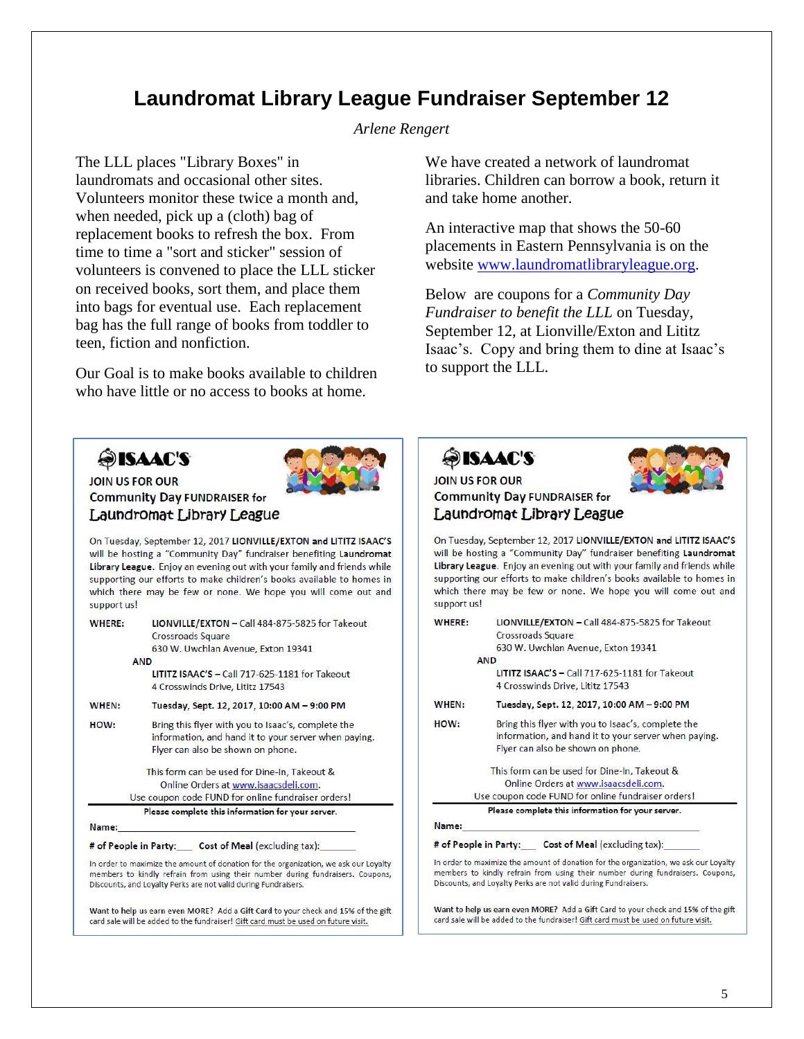## **Laundromat Library League Fundraiser September 12**

#### *Arlene Rengert*

The LLL places "Library Boxes" in laundromats and occasional other sites. Volunteers monitor these twice a month and, when needed, pick up a (cloth) bag of replacement books to refresh the box. From time to time a "sort and sticker" session of volunteers is convened to place the LLL sticker on received books, sort them, and place them into bags for eventual use. Each replacement bag has the full range of books from toddler to teen, fiction and nonfiction.

Our Goal is to make books available to children who have little or no access to books at home.

We have created a network of laundromat libraries. Children can borrow a book, return it and take home another.

An interactive map that shows the 50-60 placements in Eastern Pennsylvania is on the website [www.laundromatlibraryleague.org.](http://www.laundromatlibraryleague.org/)

Below are coupons for a *Community Day Fundraiser to benefit the LLL* on Tuesday, September 12, at Lionville/Exton and Lititz Isaac's. Copy and bring them to dine at Isaac's to support the LLL.

## **SISAAC'S**



On Tuesday, September 12, 2017 LIONVILLE/EXTON and LITITZ ISAAC'S will be hosting a "Community Day" fundraiser benefiting Laundromat Library League. Enjoy an evening out with your family and friends while supporting our efforts to make children's books available to homes in which there may be few or none. We hope you will come out and support us!

| WHERE: | LIONVILLE/EXTON - Call 484-875-5825 for Takeout                                                                                                 |  |  |  |  |
|--------|-------------------------------------------------------------------------------------------------------------------------------------------------|--|--|--|--|
|        | Crossroads Square                                                                                                                               |  |  |  |  |
|        | 630 W. Uwchlan Avenue, Exton 19341                                                                                                              |  |  |  |  |
|        | <b>AND</b>                                                                                                                                      |  |  |  |  |
|        | LITITZ ISAAC'S - Call 717-625-1181 for Takeout                                                                                                  |  |  |  |  |
|        | 4 Crosswinds Drive, Lititz 17543                                                                                                                |  |  |  |  |
| WHEN:  | Tuesday, Sept. 12, 2017, 10:00 AM - 9:00 PM                                                                                                     |  |  |  |  |
| HOW:   | Bring this flyer with you to Isaac's, complete the<br>information, and hand it to your server when paying.<br>Flyer can also be shown on phone. |  |  |  |  |
|        | This form can be used for Dine-In, Takeout &                                                                                                    |  |  |  |  |
|        | Online Orders at www.isaacsdeli.com.                                                                                                            |  |  |  |  |
|        | Use coupon code FUND for online fundraiser orders!                                                                                              |  |  |  |  |
|        | Please complete this information for your server.                                                                                               |  |  |  |  |
| Name:  |                                                                                                                                                 |  |  |  |  |
|        | # of People in Party: Cost of Meal (excluding tax):                                                                                             |  |  |  |  |
|        | In order to maximize the amount of donation for the organization, we ask our Loyalty                                                            |  |  |  |  |

members to kindly refrain from using their number during fundraisers. Coupons, Discounts, and Loyalty Perks are not valid during Fundraisers.

Want to help us earn even MORE? Add a Gift Card to your check and 15% of the gift card sale will be added to the fundraiser! Gift card must be used on future visit.

**OISAAC'S** 



### JOIN US FOR OUR **Community Day FUNDRAISER for** Laundromat Library League

On Tuesday, September 12, 2017 LIONVILLE/EXTON and LITITZ ISAAC'S will be hosting a "Community Day" fundraiser benefiting Laundromat Library League. Enjoy an evening out with your family and friends while supporting our efforts to make children's books available to homes in which there may be few or none. We hope you will come out and support us!

| WHERE: | LIONVILLE/EXTON - Call 484-875-5825 for Takeout                                                                                                                                                                                        |  |  |
|--------|----------------------------------------------------------------------------------------------------------------------------------------------------------------------------------------------------------------------------------------|--|--|
|        | Crossroads Square                                                                                                                                                                                                                      |  |  |
|        | 630 W. Uwchlan Avenue, Exton 19341                                                                                                                                                                                                     |  |  |
|        | <b>AND</b>                                                                                                                                                                                                                             |  |  |
|        | LITITZ ISAAC'S - Call 717-625-1181 for Takeout                                                                                                                                                                                         |  |  |
|        | 4 Crosswinds Drive, Lititz 17543                                                                                                                                                                                                       |  |  |
| WHEN:  | Tuesday, Sept. 12, 2017, 10:00 AM - 9:00 PM                                                                                                                                                                                            |  |  |
| HOW:   | Bring this flyer with you to Isaac's, complete the                                                                                                                                                                                     |  |  |
|        | information, and hand it to your server when paying.                                                                                                                                                                                   |  |  |
|        | Flyer can also be shown on phone.                                                                                                                                                                                                      |  |  |
|        | This form can be used for Dine-In, Takeout &                                                                                                                                                                                           |  |  |
|        | Online Orders at www.isaacsdeli.com.                                                                                                                                                                                                   |  |  |
|        | Use coupon code FUND for online fundraiser orders!                                                                                                                                                                                     |  |  |
|        | Please complete this information for your server.                                                                                                                                                                                      |  |  |
| Name:  |                                                                                                                                                                                                                                        |  |  |
|        | # of People in Party: Cost of Meal (excluding tax):                                                                                                                                                                                    |  |  |
|        | In order to maximize the amount of donation for the organization, we ask our Loyalt<br>members to kindly refrain from using their number during fundraisers. Coupon:<br>Discounts, and Loyalty Perks are not valid during Fundraisers. |  |  |
|        |                                                                                                                                                                                                                                        |  |  |

Want to help us earn even MORE? Add a Gift Card to your check and 15% of the gift card sale will be added to the fundraiser! Gift card must be used on future visit.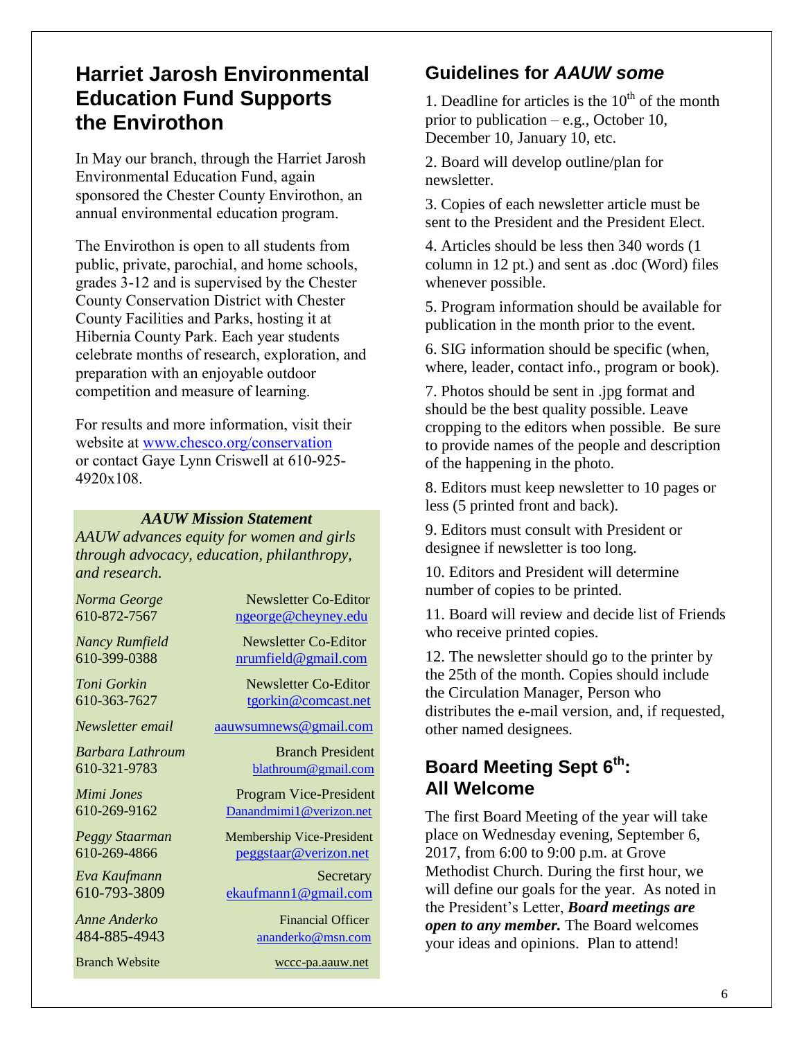## **Harriet Jarosh Environmental Education Fund Supports the Envirothon**

In May our branch, through the Harriet Jarosh Environmental Education Fund, again sponsored the Chester County Envirothon, an annual environmental education program.

The Envirothon is open to all students from public, private, parochial, and home schools, grades 3-12 and is supervised by the Chester County Conservation District with Chester County Facilities and Parks, hosting it at Hibernia County Park. Each year students celebrate months of research, exploration, and preparation with an enjoyable outdoor competition and measure of learning.

For results and more information, visit their website at [www.chesco.org/conservation](http://www.chesco.org/conservation)  or contact Gaye Lynn Criswell at 610-925- 4920x108.

#### *AAUW Mission Statement*

*AAUW advances equity for women and girls through advocacy, education, philanthropy, and research.*

| Norma George          | Newsletter Co-Editor             |
|-----------------------|----------------------------------|
| 610-872-7567          | ngeorge@cheyney.edu              |
| Nancy Rumfield        | Newsletter Co-Editor             |
| 610-399-0388          | nrumfield@gmail.com              |
| Toni Gorkin           | Newsletter Co-Editor             |
| 610-363-7627          | tgorkin@comcast.net              |
| Newsletter email      | aauwsumnews@gmail.com            |
| Barbara Lathroum      | <b>Branch President</b>          |
| 610-321-9783          | blathroum@gmail.com              |
| Mimi Jones            | <b>Program Vice-President</b>    |
| 610-269-9162          | Danandmimi1@verizon.net          |
| Peggy Staarman        | <b>Membership Vice-President</b> |
| 610-269-4866          | peggstaar@verizon.net            |
| Eva Kaufmann          | Secretary                        |
| 610-793-3809          | ekaufmann1@gmail.com             |
| Anne Anderko          | <b>Financial Officer</b>         |
| 484-885-4943          | ananderko@msn.com                |
| <b>Branch Website</b> | wccc-pa.aauw.net                 |
|                       |                                  |

### **Guidelines for** *AAUW some*

1. Deadline for articles is the  $10<sup>th</sup>$  of the month prior to publication – e.g., October 10, December 10, January 10, etc.

2. Board will develop outline/plan for newsletter.

3. Copies of each newsletter article must be sent to the President and the President Elect.

4. Articles should be less then 340 words (1 column in 12 pt.) and sent as .doc (Word) files whenever possible.

5. Program information should be available for publication in the month prior to the event.

6. SIG information should be specific (when, where, leader, contact info., program or book).

7. Photos should be sent in .jpg format and should be the best quality possible. Leave cropping to the editors when possible. Be sure to provide names of the people and description of the happening in the photo.

8. Editors must keep newsletter to 10 pages or less (5 printed front and back).

9. Editors must consult with President or designee if newsletter is too long.

10. Editors and President will determine number of copies to be printed.

11. Board will review and decide list of Friends who receive printed copies.

12. The newsletter should go to the printer by the 25th of the month. Copies should include the Circulation Manager, Person who distributes the e-mail version, and, if requested, other named designees.

### **Board Meeting Sept 6th: All Welcome**

The first Board Meeting of the year will take place on Wednesday evening, September 6, 2017, from 6:00 to 9:00 p.m. at Grove Methodist Church. During the first hour, we will define our goals for the year. As noted in the President's Letter, *Board meetings are open to any member.* The Board welcomes your ideas and opinions. Plan to attend!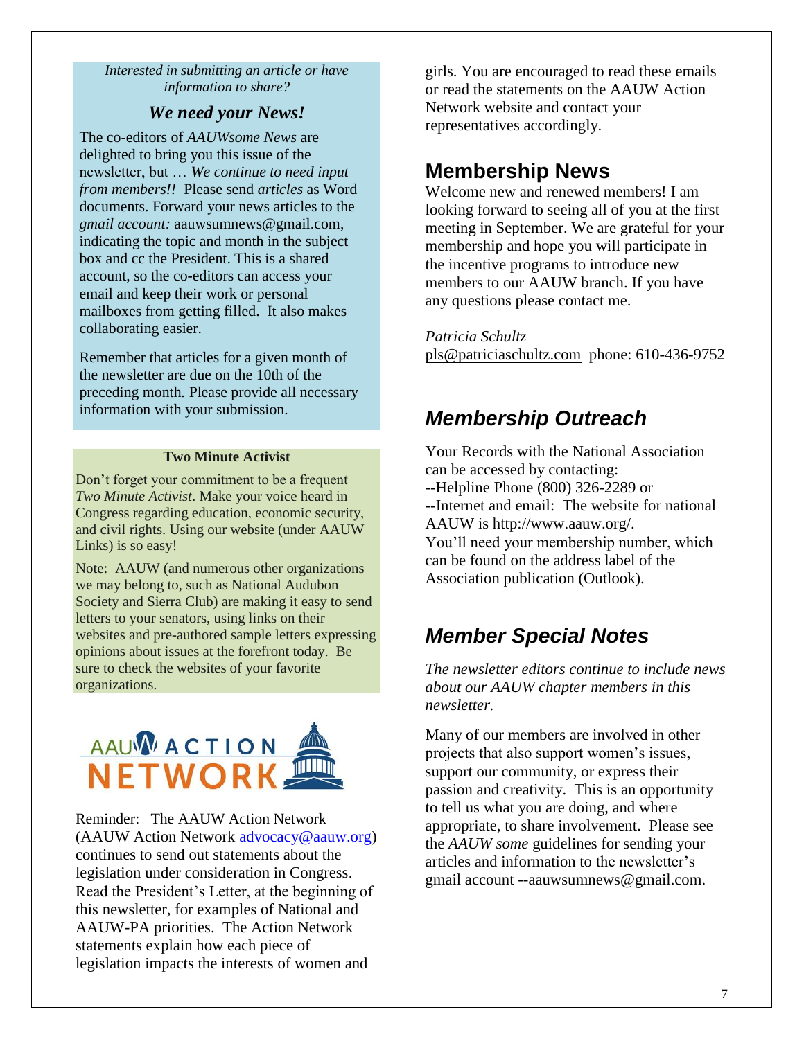*Interested in submitting an article or have information to share?*

### *We need your News!*

The co-editors of *AAUWsome News* are delighted to bring you this issue of the newsletter, but … *We continue to need input from members!!* Please send *articles* as Word documents. Forward your news articles to the *gmail account:* [aauwsumnews@gmail.com,](mailto:aauwsum@gmail.com) indicating the topic and month in the subject box and cc the President. This is a shared account, so the co-editors can access your email and keep their work or personal mailboxes from getting filled. It also makes collaborating easier.

Remember that articles for a given month of the newsletter are due on the 10th of the preceding month*.* Please provide all necessary information with your submission.

#### **Two Minute Activist**

Don't forget your commitment to be a frequent *Two Minute Activist*. Make your voice heard in Congress regarding education, economic security, and civil rights. Using our website (under AAUW Links) is so easy!

Note: AAUW (and numerous other organizations we may belong to, such as National Audubon Society and Sierra Club) are making it easy to send letters to your senators, using links on their websites and pre-authored sample letters expressing opinions about issues at the forefront today. Be sure to check the websites of your favorite organizations.



Reminder: The AAUW Action Network (AAUW Action Network [advocacy@aauw.org\)](mailto:advocacy@aauw.org) continues to send out statements about the legislation under consideration in Congress. Read the President's Letter, at the beginning of this newsletter, for examples of National and AAUW-PA priorities. The Action Network statements explain how each piece of legislation impacts the interests of women and

girls. You are encouraged to read these emails or read the statements on the AAUW Action Network website and contact your representatives accordingly.

### **Membership News**

Welcome new and renewed members! I am looking forward to seeing all of you at the first meeting in September. We are grateful for your membership and hope you will participate in the incentive programs to introduce new members to our AAUW branch. If you have any questions please contact me.

*Patricia Schultz*

[pls@patriciaschultz.com](mailto:pls@patriciaschultz.com) phone: 610-436-9752

### *Membership Outreach*

Your Records with the National Association can be accessed by contacting: --Helpline Phone (800) 326-2289 or --Internet and email: The website for national AAUW is http://www.aauw.org/. You'll need your membership number, which can be found on the address label of the Association publication (Outlook).

### *Member Special Notes*

*The newsletter editors continue to include news about our AAUW chapter members in this newsletter.* 

Many of our members are involved in other projects that also support women's issues, support our community, or express their passion and creativity. This is an opportunity to tell us what you are doing, and where appropriate, to share involvement. Please see the *AAUW some* guidelines for sending your articles and information to the newsletter's gmail account --aauwsumnews@gmail.com.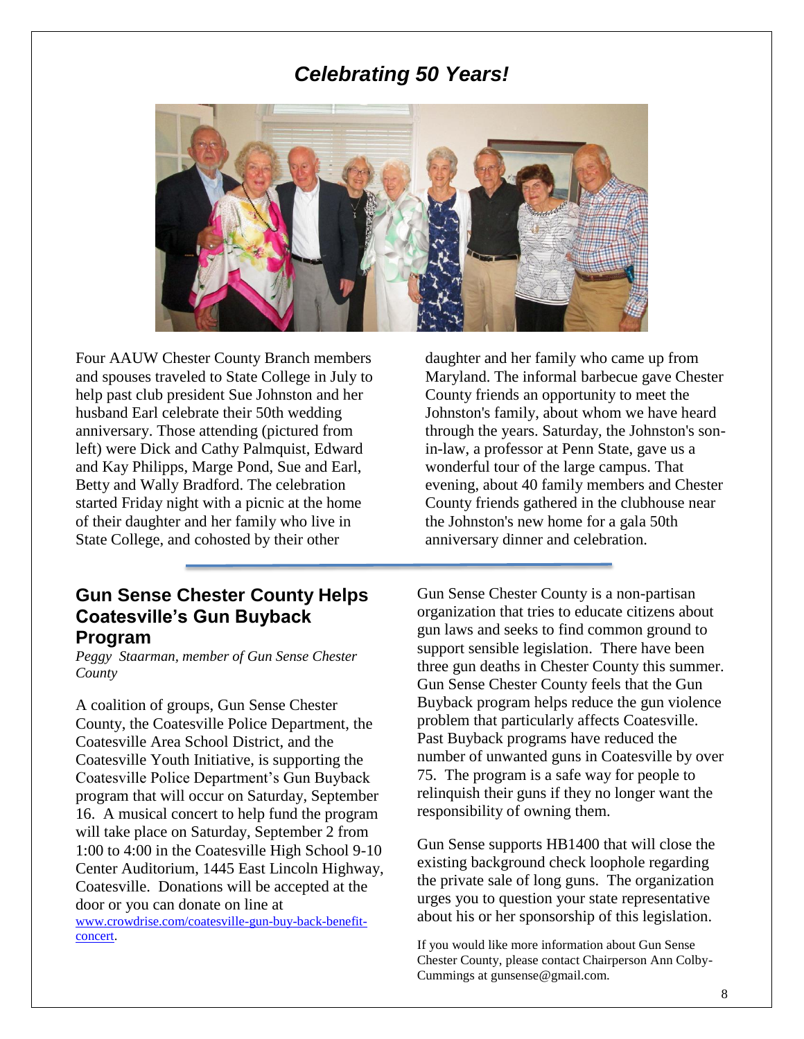### *Celebrating 50 Years!*



Four AAUW Chester County Branch members and spouses traveled to State College in July to help past club president Sue Johnston and her husband Earl celebrate their 50th wedding anniversary. Those attending (pictured from left) were Dick and Cathy Palmquist, Edward and Kay Philipps, Marge Pond, Sue and Earl, Betty and Wally Bradford. The celebration started Friday night with a picnic at the home of their daughter and her family who live in State College, and cohosted by their other

### **Gun Sense Chester County Helps Coatesville's Gun Buyback Program**

*Peggy Staarman, member of Gun Sense Chester County*

A coalition of groups, Gun Sense Chester County, the Coatesville Police Department, the Coatesville Area School District, and the Coatesville Youth Initiative, is supporting the Coatesville Police Department's Gun Buyback program that will occur on Saturday, September 16. A musical concert to help fund the program will take place on Saturday, September 2 from 1:00 to 4:00 in the Coatesville High School 9-10 Center Auditorium, 1445 East Lincoln Highway, Coatesville. Donations will be accepted at the door or you can donate on line at

[www.crowdrise.com/coatesville-gun-buy-back-benefit](http://www.crowdrise.com/coatesville-gun-buy-back-benefit-concert)[concert.](http://www.crowdrise.com/coatesville-gun-buy-back-benefit-concert)

daughter and her family who came up from Maryland. The informal barbecue gave Chester County friends an opportunity to meet the Johnston's family, about whom we have heard through the years. Saturday, the Johnston's sonin-law, a professor at Penn State, gave us a wonderful tour of the large campus. That evening, about 40 family members and Chester County friends gathered in the clubhouse near the Johnston's new home for a gala 50th anniversary dinner and celebration.

Gun Sense Chester County is a non-partisan organization that tries to educate citizens about gun laws and seeks to find common ground to support sensible legislation. There have been three gun deaths in Chester County this summer. Gun Sense Chester County feels that the Gun Buyback program helps reduce the gun violence problem that particularly affects Coatesville. Past Buyback programs have reduced the number of unwanted guns in Coatesville by over 75. The program is a safe way for people to relinquish their guns if they no longer want the responsibility of owning them.

Gun Sense supports HB1400 that will close the existing background check loophole regarding the private sale of long guns. The organization urges you to question your state representative about his or her sponsorship of this legislation.

If you would like more information about Gun Sense Chester County, please contact Chairperson Ann Colby-Cummings at gunsense@gmail.com.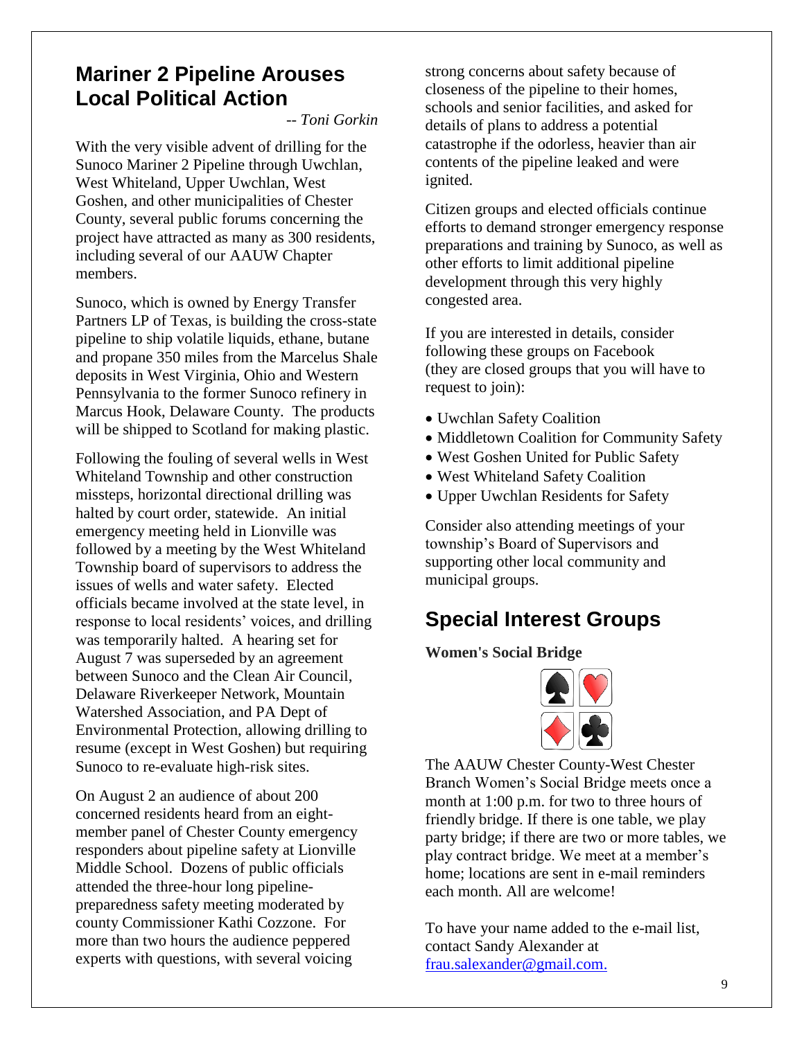### **Mariner 2 Pipeline Arouses Local Political Action**

*-- Toni Gorkin*

With the very visible advent of drilling for the Sunoco Mariner 2 Pipeline through Uwchlan, West Whiteland, Upper Uwchlan, West Goshen, and other municipalities of Chester County, several public forums concerning the project have attracted as many as 300 residents, including several of our AAUW Chapter members.

Sunoco, which is owned by Energy Transfer Partners LP of Texas, is building the cross-state pipeline to ship volatile liquids, ethane, butane and propane 350 miles from the Marcelus Shale deposits in West Virginia, Ohio and Western Pennsylvania to the former Sunoco refinery in Marcus Hook, Delaware County. The products will be shipped to Scotland for making plastic.

Following the fouling of several wells in West Whiteland Township and other construction missteps, horizontal directional drilling was halted by court order, statewide. An initial emergency meeting held in Lionville was followed by a meeting by the West Whiteland Township board of supervisors to address the issues of wells and water safety. Elected officials became involved at the state level, in response to local residents' voices, and drilling was temporarily halted. A hearing set for August 7 was superseded by an agreement between Sunoco and the Clean Air Council, Delaware Riverkeeper Network, Mountain Watershed Association, and PA Dept of Environmental Protection, allowing drilling to resume (except in West Goshen) but requiring Sunoco to re-evaluate high-risk sites.

On August 2 an audience of about 200 concerned residents heard from an eightmember panel of Chester County emergency responders about pipeline safety at Lionville Middle School. Dozens of public officials attended the three-hour long pipelinepreparedness safety meeting moderated by county Commissioner Kathi Cozzone. For more than two hours the audience peppered experts with questions, with several voicing

strong concerns about safety because of closeness of the pipeline to their homes, schools and senior facilities, and asked for details of plans to address a potential catastrophe if the odorless, heavier than air contents of the pipeline leaked and were ignited.

Citizen groups and elected officials continue efforts to demand stronger emergency response preparations and training by Sunoco, as well as other efforts to limit additional pipeline development through this very highly congested area.

If you are interested in details, consider following these groups on Facebook (they are closed groups that you will have to request to join):

- Uwchlan Safety Coalition
- Middletown Coalition for Community Safety
- West Goshen United for Public Safety
- West Whiteland Safety Coalition
- Upper Uwchlan Residents for Safety

Consider also attending meetings of your township's Board of Supervisors and supporting other local community and municipal groups.

### **Special Interest Groups**

#### **Women's Social Bridge**



The AAUW Chester County-West Chester Branch Women's Social Bridge meets once a month at 1:00 p.m. for two to three hours of friendly bridge. If there is one table, we play party bridge; if there are two or more tables, we play contract bridge. We meet at a member's home; locations are sent in e-mail reminders each month. All are welcome!

To have your name added to the e-mail list, contact Sandy Alexander at [frau.salexander@gmail.com.](mailto:frau.salexander@gmail.com)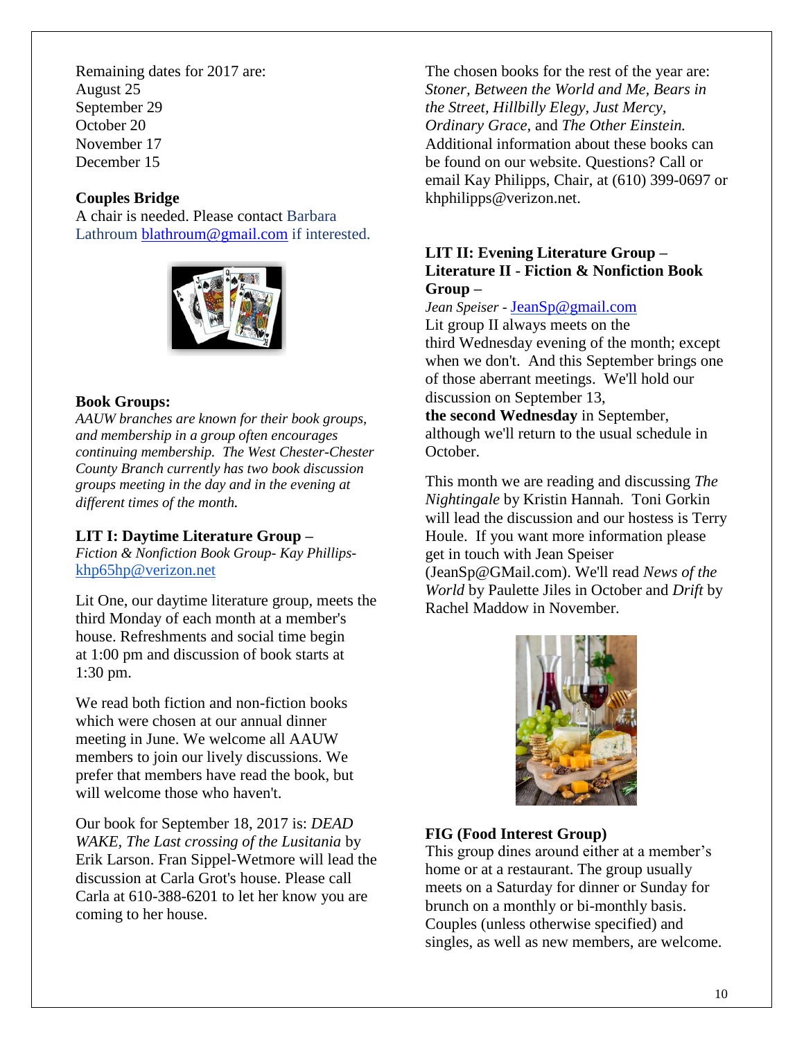Remaining dates for 2017 are: August 25 September 29 October 20 November 17 December 15

### **Couples Bridge**

A chair is needed. Please contact Barbara Lathroum [blathroum@gmail.com](mailto:blathroum@gmail.com) if interested.



### **Book Groups:**

*AAUW branches are known for their book groups, and membership in a group often encourages continuing membership. The West Chester-Chester County Branch currently has two book discussion groups meeting in the day and in the evening at different times of the month.* 

### **LIT I: Daytime Literature Group –**

*Fiction & Nonfiction Book Group- Kay Phillips*[khp65hp@verizon.net](mailto:khp65hp@verizon.net)

Lit One, our daytime literature group, meets the third Monday of each month at a member's house. Refreshments and social time begin at 1:00 pm and discussion of book starts at 1:30 pm.

We read both fiction and non-fiction books which were chosen at our annual dinner meeting in June. We welcome all AAUW members to join our lively discussions. We prefer that members have read the book, but will welcome those who haven't.

Our book for September 18, 2017 is: *DEAD WAKE, The Last crossing of the Lusitania* by Erik Larson. Fran Sippel-Wetmore will lead the discussion at Carla Grot's house. Please call Carla at [610-388-6201](tel:(610)%20388-6201) to let her know you are coming to her house.

The chosen books for the rest of the year are: *Stoner, Between the World and Me, Bears in the Street, Hillbilly Elegy, Just Mercy, Ordinary Grace,* and *The Other Einstein.* Additional information about these books can be found on our website. Questions? Call or email Kay Philipps, Chair, at (610) 399-0697 or khphilipps@verizon.net.

### **LIT II: Evening Literature Group – Literature II - Fiction & Nonfiction Book Group –**

#### *Jean Speiser -* [JeanSp@gmail.com](mailto:JeanSp@gmail.com)

Lit group II always meets on the third Wednesday evening of the month; except when we don't. And this September brings one of those aberrant meetings. We'll hold our discussion on September 13, **the second Wednesday** in September, although we'll return to the usual schedule in October.

This month we are reading and discussing *The Nightingale* by Kristin Hannah. Toni Gorkin will lead the discussion and our hostess is Terry Houle. If you want more information please get in touch with Jean Speiser (JeanSp@GMail.com). We'll read *News of the World* by Paulette Jiles in October and *Drift* by Rachel Maddow in November.



### **FIG (Food Interest Group)**

This group dines around either at a member's home or at a restaurant. The group usually meets on a Saturday for dinner or Sunday for brunch on a monthly or bi-monthly basis. Couples (unless otherwise specified) and singles, as well as new members, are welcome.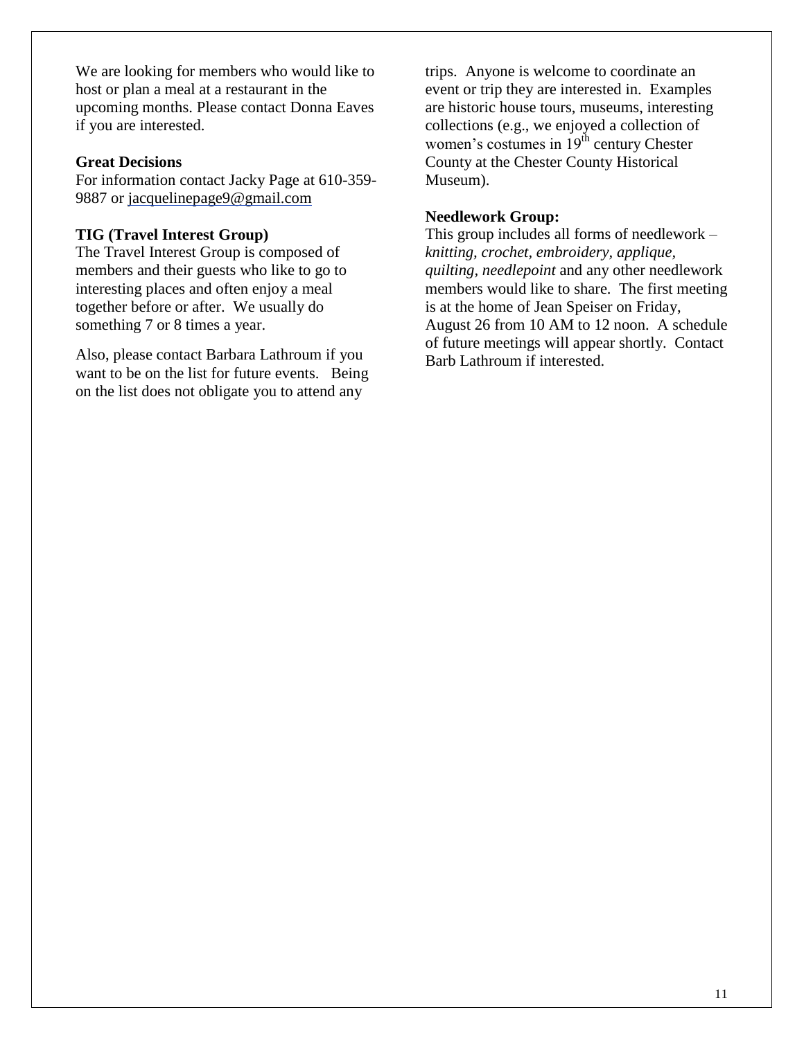We are looking for members who would like to host or plan a meal at a restaurant in the upcoming months. Please contact Donna Eaves if you are interested.

### **Great Decisions**

For information contact Jacky Page at 610-359- 9887 or [jacquelinepage9@gmail.com](mailto:jacquelinepage9@gmail.com)

### **TIG (Travel Interest Group)**

The Travel Interest Group is composed of members and their guests who like to go to interesting places and often enjoy a meal together before or after. We usually do something 7 or 8 times a year.

Also, please contact Barbara Lathroum if you want to be on the list for future events. Being on the list does not obligate you to attend any

trips. Anyone is welcome to coordinate an event or trip they are interested in. Examples are historic house tours, museums, interesting collections (e.g., we enjoyed a collection of women's costumes in  $19<sup>th</sup>$  century Chester County at the Chester County Historical Museum).

### **Needlework Group:**

This group includes all forms of needlework – *knitting, crochet, embroidery, applique, quilting, needlepoint* and any other needlework members would like to share. The first meeting is at the home of Jean Speiser on Friday, August 26 from 10 AM to 12 noon. A schedule of future meetings will appear shortly. Contact Barb Lathroum if interested.